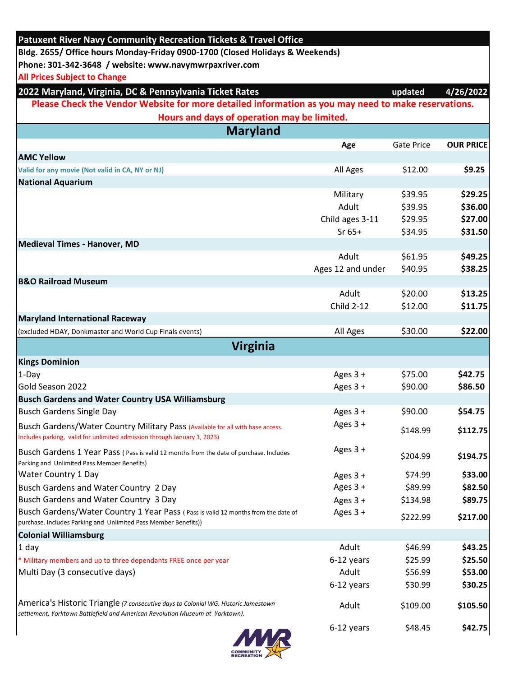| <b>Patuxent River Navy Community Recreation Tickets &amp; Travel Office</b><br>Bldg. 2655/ Office hours Monday-Friday 0900-1700 (Closed Holidays & Weekends)        |                   |            |                  |  |  |  |
|---------------------------------------------------------------------------------------------------------------------------------------------------------------------|-------------------|------------|------------------|--|--|--|
|                                                                                                                                                                     |                   |            |                  |  |  |  |
| <b>All Prices Subject to Change</b>                                                                                                                                 |                   |            |                  |  |  |  |
| 2022 Maryland, Virginia, DC & Pennsylvania Ticket Rates                                                                                                             |                   | updated    | 4/26/2022        |  |  |  |
| Please Check the Vendor Website for more detailed information as you may need to make reservations.                                                                 |                   |            |                  |  |  |  |
| Hours and days of operation may be limited.                                                                                                                         |                   |            |                  |  |  |  |
| <b>Maryland</b>                                                                                                                                                     |                   |            |                  |  |  |  |
|                                                                                                                                                                     | Age               | Gate Price | <b>OUR PRICE</b> |  |  |  |
| <b>AMC Yellow</b>                                                                                                                                                   |                   | \$12.00    | \$9.25           |  |  |  |
| Valid for any movie (Not valid in CA, NY or NJ)<br><b>National Aquarium</b>                                                                                         | All Ages          |            |                  |  |  |  |
|                                                                                                                                                                     | Military          | \$39.95    | \$29.25          |  |  |  |
|                                                                                                                                                                     | Adult             | \$39.95    | \$36.00          |  |  |  |
|                                                                                                                                                                     | Child ages 3-11   | \$29.95    | \$27.00          |  |  |  |
|                                                                                                                                                                     | $Sr65+$           | \$34.95    | \$31.50          |  |  |  |
| Medieval Times - Hanover, MD                                                                                                                                        |                   |            |                  |  |  |  |
|                                                                                                                                                                     | Adult             | \$61.95    | \$49.25          |  |  |  |
|                                                                                                                                                                     | Ages 12 and under | \$40.95    | \$38.25          |  |  |  |
| <b>B&amp;O Railroad Museum</b>                                                                                                                                      |                   |            |                  |  |  |  |
|                                                                                                                                                                     | Adult             | \$20.00    | \$13.25          |  |  |  |
|                                                                                                                                                                     | <b>Child 2-12</b> | \$12.00    | \$11.75          |  |  |  |
| <b>Maryland International Raceway</b>                                                                                                                               |                   |            |                  |  |  |  |
| (excluded HDAY, Donkmaster and World Cup Finals events)                                                                                                             | All Ages          | \$30.00    | \$22.00          |  |  |  |
| <b>Virginia</b>                                                                                                                                                     |                   |            |                  |  |  |  |
| <b>Kings Dominion</b>                                                                                                                                               |                   |            |                  |  |  |  |
| $1-Day$                                                                                                                                                             | Ages $3 +$        | \$75.00    | \$42.75          |  |  |  |
| Gold Season 2022                                                                                                                                                    | Ages 3 +          | \$90.00    | \$86.50          |  |  |  |
| <b>Busch Gardens and Water Country USA Williamsburg</b>                                                                                                             |                   |            |                  |  |  |  |
| <b>Busch Gardens Single Day</b>                                                                                                                                     | Ages 3 +          | \$90.00    | \$54.75          |  |  |  |
| Busch Gardens/Water Country Military Pass (Available for all with base access.<br>Includes parking, valid for unlimited admission through January 1, 2023)          | Ages $3 +$        | \$148.99   | \$112.75         |  |  |  |
| Busch Gardens 1 Year Pass (Pass is valid 12 months from the date of purchase. Includes<br>Parking and Unlimited Pass Member Benefits)                               | Ages 3 +          | \$204.99   | \$194.75         |  |  |  |
| <b>Water Country 1 Day</b>                                                                                                                                          | Ages $3 +$        | \$74.99    | \$33.00          |  |  |  |
| Busch Gardens and Water Country 2 Day                                                                                                                               | Ages $3 +$        | \$89.99    | \$82.50          |  |  |  |
| Busch Gardens and Water Country 3 Day                                                                                                                               | Ages 3 +          | \$134.98   | \$89.75          |  |  |  |
| Busch Gardens/Water Country 1 Year Pass (Pass is valid 12 months from the date of<br>purchase. Includes Parking and Unlimited Pass Member Benefits))                | Ages 3 +          | \$222.99   | \$217.00         |  |  |  |
| <b>Colonial Williamsburg</b>                                                                                                                                        |                   |            |                  |  |  |  |
| 1 day                                                                                                                                                               | Adult             | \$46.99    | \$43.25          |  |  |  |
| * Military members and up to three dependants FREE once per year                                                                                                    | 6-12 years        | \$25.99    | \$25.50          |  |  |  |
| Multi Day (3 consecutive days)                                                                                                                                      | Adult             | \$56.99    | \$53.00          |  |  |  |
|                                                                                                                                                                     | 6-12 years        | \$30.99    | \$30.25          |  |  |  |
| America's Historic Triangle (7 consecutive days to Colonial WG, Historic Jamestown<br>settlement, Yorktown Battlefield and American Revolution Museum at Yorktown). | Adult             | \$109.00   | \$105.50         |  |  |  |
|                                                                                                                                                                     | 6-12 years        | \$48.45    | \$42.75          |  |  |  |